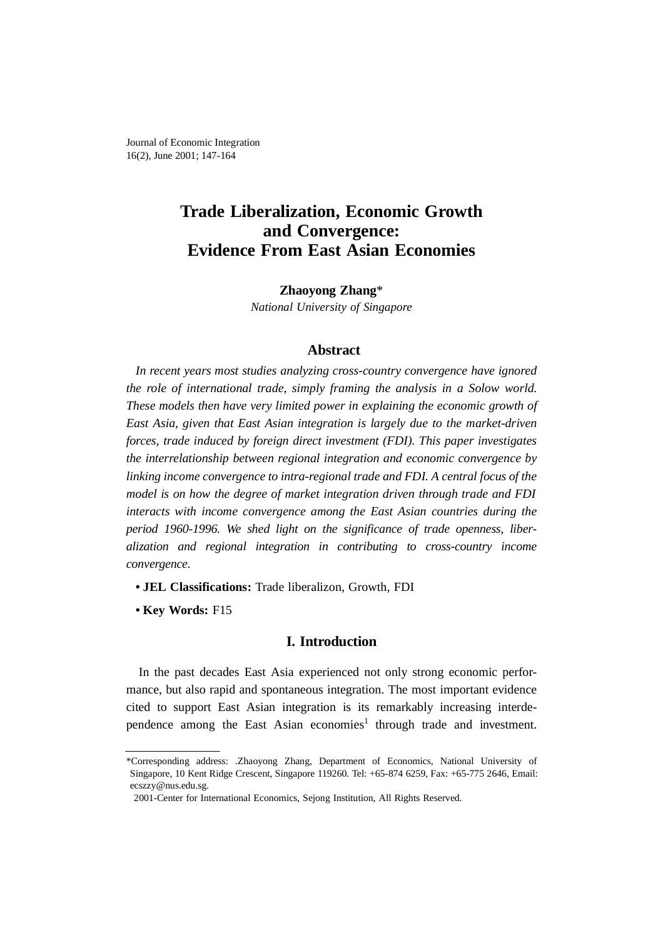# **Trade Liberalization, Economic Growth and Convergence: Evidence From East Asian Economies**

**Zhaoyong Zhang**\* *National University of Singapore*

## **Abstract**

*In recent years most studies analyzing cross-country convergence have ignored the role of international trade, simply framing the analysis in a Solow world. These models then have very limited power in explaining the economic growth of East Asia, given that East Asian integration is largely due to the market-driven forces, trade induced by foreign direct investment (FDI). This paper investigates the interrelationship between regional integration and economic convergence by linking income convergence to intra-regional trade and FDI. A central focus of the model is on how the degree of market integration driven through trade and FDI interacts with income convergence among the East Asian countries during the period 1960-1996. We shed light on the significance of trade openness, liberalization and regional integration in contributing to cross-country income convergence.*

- **JEL Classifications:** Trade liberalizon, Growth, FDI
- **Key Words:** F15

# **I. Introduction**

In the past decades East Asia experienced not only strong economic performance, but also rapid and spontaneous integration. The most important evidence cited to support East Asian integration is its remarkably increasing interdependence among the East Asian economies<sup>1</sup> through trade and investment.

<sup>\*</sup>Corresponding address: .Zhaoyong Zhang, Department of Economics, National University of Singapore, 10 Kent Ridge Crescent, Singapore 119260. Tel: +65-874 6259, Fax: +65-775 2646, Email: ecszzy@nus.edu.sg.

<sup>2001-</sup>Center for International Economics, Sejong Institution, All Rights Reserved.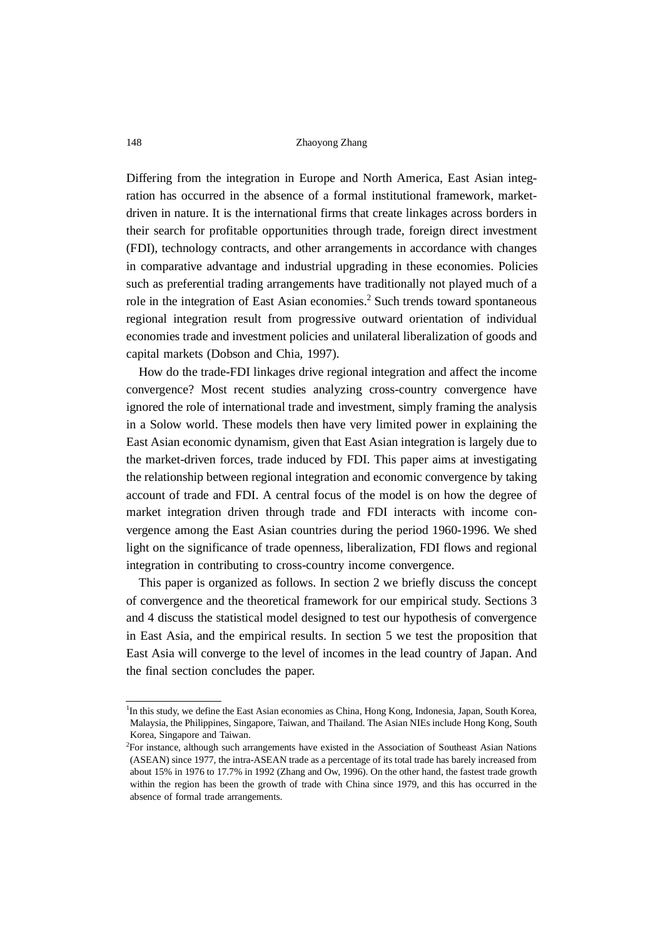Differing from the integration in Europe and North America, East Asian integration has occurred in the absence of a formal institutional framework, marketdriven in nature. It is the international firms that create linkages across borders in their search for profitable opportunities through trade, foreign direct investment (FDI), technology contracts, and other arrangements in accordance with changes in comparative advantage and industrial upgrading in these economies. Policies such as preferential trading arrangements have traditionally not played much of a role in the integration of East Asian economies.<sup>2</sup> Such trends toward spontaneous regional integration result from progressive outward orientation of individual economies trade and investment policies and unilateral liberalization of goods and capital markets (Dobson and Chia, 1997).

How do the trade-FDI linkages drive regional integration and affect the income convergence? Most recent studies analyzing cross-country convergence have ignored the role of international trade and investment, simply framing the analysis in a Solow world. These models then have very limited power in explaining the East Asian economic dynamism, given that East Asian integration is largely due to the market-driven forces, trade induced by FDI. This paper aims at investigating the relationship between regional integration and economic convergence by taking account of trade and FDI. A central focus of the model is on how the degree of market integration driven through trade and FDI interacts with income convergence among the East Asian countries during the period 1960-1996. We shed light on the significance of trade openness, liberalization, FDI flows and regional integration in contributing to cross-country income convergence.

This paper is organized as follows. In section 2 we briefly discuss the concept of convergence and the theoretical framework for our empirical study. Sections 3 and 4 discuss the statistical model designed to test our hypothesis of convergence in East Asia, and the empirical results. In section 5 we test the proposition that East Asia will converge to the level of incomes in the lead country of Japan. And the final section concludes the paper.

<sup>&</sup>lt;sup>1</sup>In this study, we define the East Asian economies as China, Hong Kong, Indonesia, Japan, South Korea, Malaysia, the Philippines, Singapore, Taiwan, and Thailand. The Asian NIEs include Hong Kong, South Korea, Singapore and Taiwan.

<sup>2</sup> For instance, although such arrangements have existed in the Association of Southeast Asian Nations (ASEAN) since 1977, the intra-ASEAN trade as a percentage of its total trade has barely increased from about 15% in 1976 to 17.7% in 1992 (Zhang and Ow, 1996). On the other hand, the fastest trade growth within the region has been the growth of trade with China since 1979, and this has occurred in the absence of formal trade arrangements.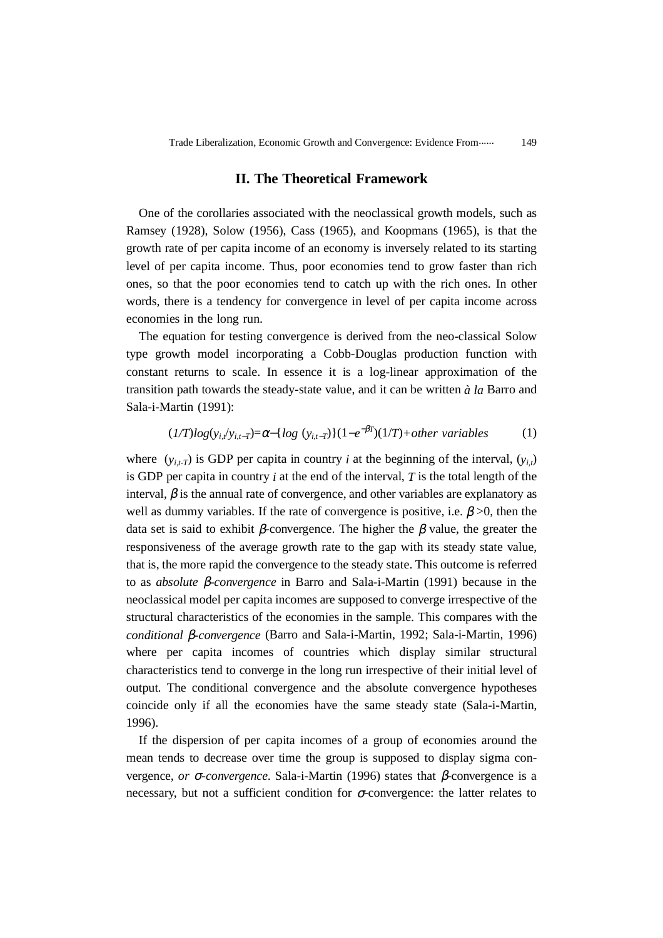## **II. The Theoretical Framework**

One of the corollaries associated with the neoclassical growth models, such as Ramsey (1928), Solow (1956), Cass (1965), and Koopmans (1965), is that the growth rate of per capita income of an economy is inversely related to its starting level of per capita income. Thus, poor economies tend to grow faster than rich ones, so that the poor economies tend to catch up with the rich ones. In other words, there is a tendency for convergence in level of per capita income across economies in the long run.

The equation for testing convergence is derived from the neo-classical Solow type growth model incorporating a Cobb-Douglas production function with constant returns to scale. In essence it is a log-linear approximation of the transition path towards the steady-state value, and it can be written *à la* Barro and Sala-i-Martin (1991):

$$
(1/T)log(y_{i,t}/y_{i,t-T}) = \alpha - \{log(y_{i,t-T})\}(1 - e^{-\beta T})(1/T) + other\ variables
$$
 (1)

where  $(y_{i,t})$  is GDP per capita in country *i* at the beginning of the interval,  $(y_i)$ is GDP per capita in country *i* at the end of the interval, *T* is the total length of the interval,  $\beta$  is the annual rate of convergence, and other variables are explanatory as well as dummy variables. If the rate of convergence is positive, i.e.  $\beta > 0$ , then the data set is said to exhibit β-convergence. The higher the β value, the greater the responsiveness of the average growth rate to the gap with its steady state value, that is, the more rapid the convergence to the steady state. This outcome is referred to as *absolute* β*-convergence* in Barro and Sala-i-Martin (1991) because in the neoclassical model per capita incomes are supposed to converge irrespective of the structural characteristics of the economies in the sample. This compares with the *conditional* β*-convergence* (Barro and Sala-i-Martin, 1992; Sala-i-Martin, 1996) where per capita incomes of countries which display similar structural characteristics tend to converge in the long run irrespective of their initial level of output. The conditional convergence and the absolute convergence hypotheses coincide only if all the economies have the same steady state (Sala-i-Martin, 1996).

If the dispersion of per capita incomes of a group of economies around the mean tends to decrease over time the group is supposed to display sigma convergence*, or* σ*-convergence*. Sala-i-Martin (1996) states that β-convergence is a necessary, but not a sufficient condition for  $\sigma$ -convergence: the latter relates to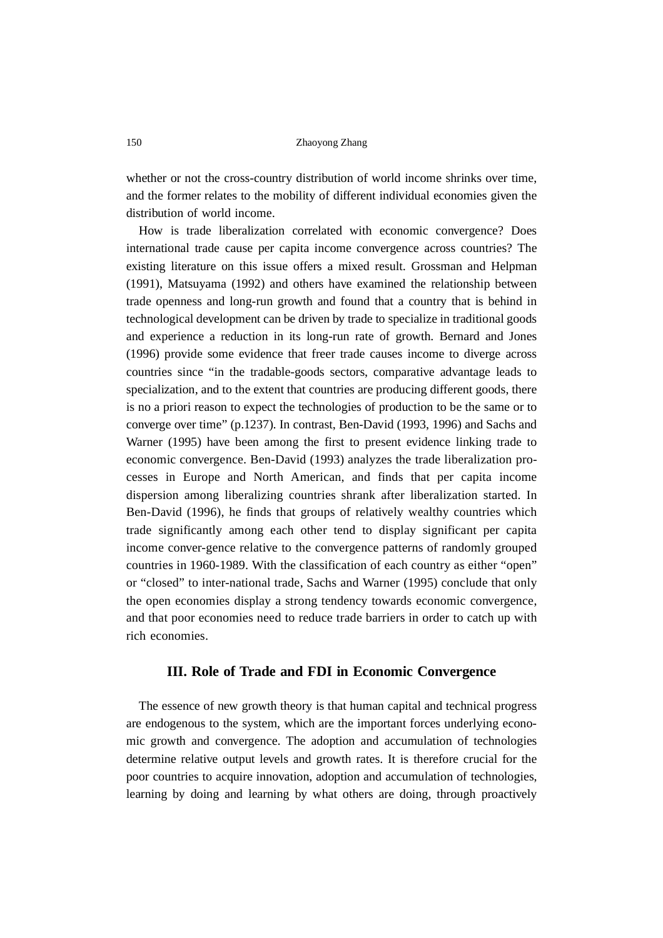whether or not the cross-country distribution of world income shrinks over time, and the former relates to the mobility of different individual economies given the distribution of world income.

How is trade liberalization correlated with economic convergence? Does international trade cause per capita income convergence across countries? The existing literature on this issue offers a mixed result. Grossman and Helpman (1991), Matsuyama (1992) and others have examined the relationship between trade openness and long-run growth and found that a country that is behind in technological development can be driven by trade to specialize in traditional goods and experience a reduction in its long-run rate of growth. Bernard and Jones (1996) provide some evidence that freer trade causes income to diverge across countries since "in the tradable-goods sectors, comparative advantage leads to specialization, and to the extent that countries are producing different goods, there is no a priori reason to expect the technologies of production to be the same or to converge over time" (p.1237). In contrast, Ben-David (1993, 1996) and Sachs and Warner (1995) have been among the first to present evidence linking trade to economic convergence. Ben-David (1993) analyzes the trade liberalization processes in Europe and North American, and finds that per capita income dispersion among liberalizing countries shrank after liberalization started. In Ben-David (1996), he finds that groups of relatively wealthy countries which trade significantly among each other tend to display significant per capita income conver-gence relative to the convergence patterns of randomly grouped countries in 1960-1989. With the classification of each country as either "open" or "closed" to inter-national trade, Sachs and Warner (1995) conclude that only the open economies display a strong tendency towards economic convergence, and that poor economies need to reduce trade barriers in order to catch up with rich economies.

## **III. Role of Trade and FDI in Economic Convergence**

The essence of new growth theory is that human capital and technical progress are endogenous to the system, which are the important forces underlying economic growth and convergence. The adoption and accumulation of technologies determine relative output levels and growth rates. It is therefore crucial for the poor countries to acquire innovation, adoption and accumulation of technologies, learning by doing and learning by what others are doing, through proactively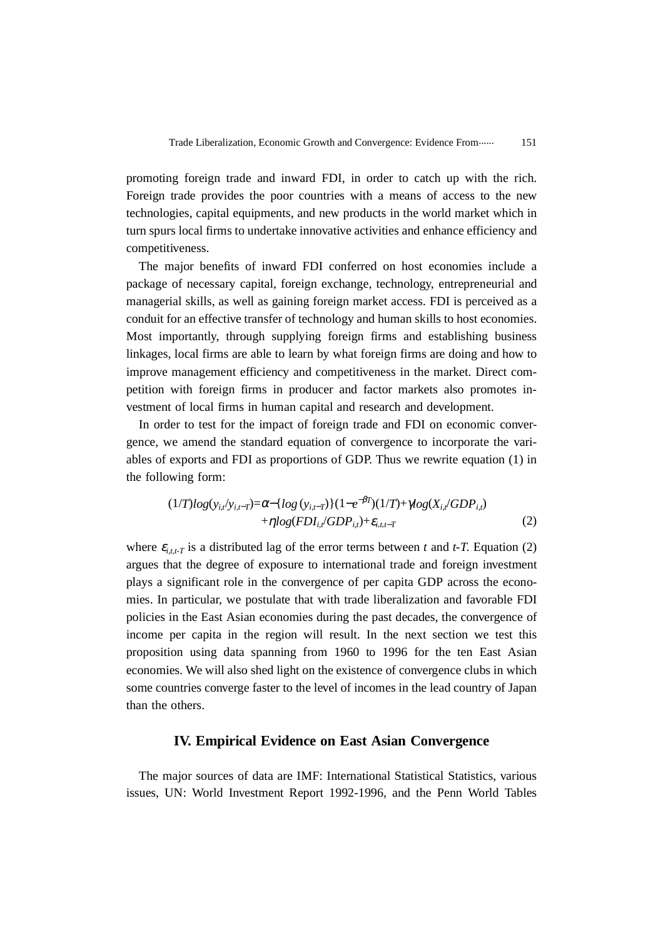promoting foreign trade and inward FDI, in order to catch up with the rich. Foreign trade provides the poor countries with a means of access to the new technologies, capital equipments, and new products in the world market which in turn spurs local firms to undertake innovative activities and enhance efficiency and competitiveness.

The major benefits of inward FDI conferred on host economies include a package of necessary capital, foreign exchange, technology, entrepreneurial and managerial skills, as well as gaining foreign market access. FDI is perceived as a conduit for an effective transfer of technology and human skills to host economies. Most importantly, through supplying foreign firms and establishing business linkages, local firms are able to learn by what foreign firms are doing and how to improve management efficiency and competitiveness in the market. Direct competition with foreign firms in producer and factor markets also promotes investment of local firms in human capital and research and development.

In order to test for the impact of foreign trade and FDI on economic convergence, we amend the standard equation of convergence to incorporate the variables of exports and FDI as proportions of GDP. Thus we rewrite equation (1) in the following form:

$$
(1/T)log(y_{i,t}/y_{i,t-T}) = \alpha - \{log(y_{i,t-T})\} (1 - e^{-\beta T})(1/T) + \gamma log(X_{i,t}/GDP_{i,t}) + \eta log(FDI_{i,t}/GDP_{i,t}) + \varepsilon_{i,t,t-T}
$$
(2)

where  $\varepsilon_{i,t}$  is a distributed lag of the error terms between *t* and *t*-*T*. Equation (2) argues that the degree of exposure to international trade and foreign investment plays a significant role in the convergence of per capita GDP across the economies. In particular, we postulate that with trade liberalization and favorable FDI policies in the East Asian economies during the past decades, the convergence of income per capita in the region will result. In the next section we test this proposition using data spanning from 1960 to 1996 for the ten East Asian economies. We will also shed light on the existence of convergence clubs in which some countries converge faster to the level of incomes in the lead country of Japan than the others.

### **IV. Empirical Evidence on East Asian Convergence**

The major sources of data are IMF: International Statistical Statistics, various issues, UN: World Investment Report 1992-1996, and the Penn World Tables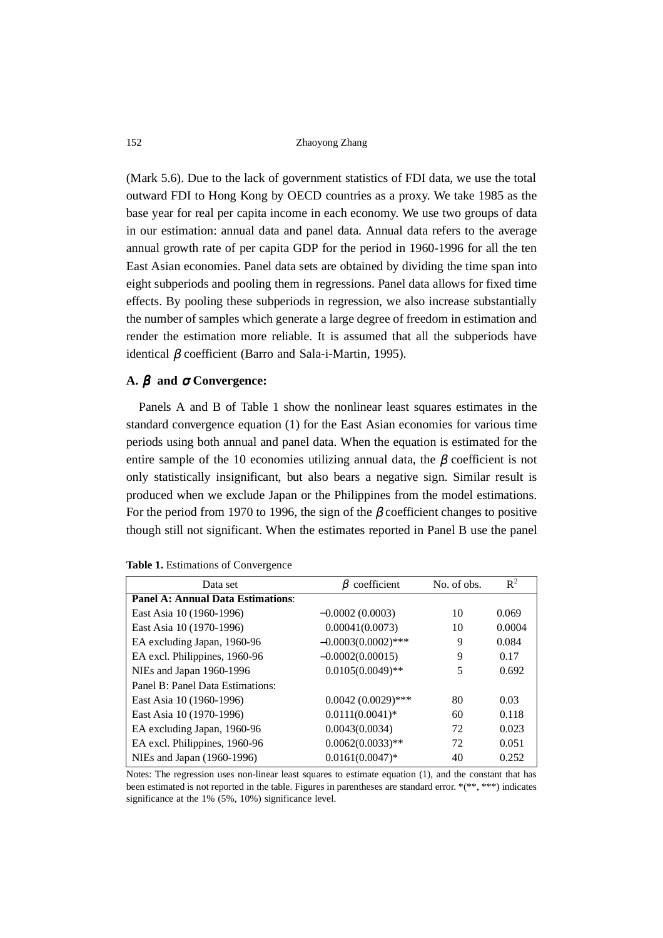(Mark 5.6). Due to the lack of government statistics of FDI data, we use the total outward FDI to Hong Kong by OECD countries as a proxy. We take 1985 as the base year for real per capita income in each economy. We use two groups of data in our estimation: annual data and panel data. Annual data refers to the average annual growth rate of per capita GDP for the period in 1960-1996 for all the ten East Asian economies. Panel data sets are obtained by dividing the time span into eight subperiods and pooling them in regressions. Panel data allows for fixed time effects. By pooling these subperiods in regression, we also increase substantially the number of samples which generate a large degree of freedom in estimation and render the estimation more reliable. It is assumed that all the subperiods have identical β coefficient (Barro and Sala-i-Martin, 1995).

#### **A.**  $\beta$  and  $\sigma$  Convergence:

Panels A and B of Table 1 show the nonlinear least squares estimates in the standard convergence equation (1) for the East Asian economies for various time periods using both annual and panel data. When the equation is estimated for the entire sample of the 10 economies utilizing annual data, the  $\beta$  coefficient is not only statistically insignificant, but also bears a negative sign. Similar result is produced when we exclude Japan or the Philippines from the model estimations. For the period from 1970 to 1996, the sign of the  $\beta$  coefficient changes to positive though still not significant. When the estimates reported in Panel B use the panel

| Data set                                 | coefficient           | No. of obs. | $R^2$  |
|------------------------------------------|-----------------------|-------------|--------|
| <b>Panel A: Annual Data Estimations:</b> |                       |             |        |
| East Asia 10 (1960-1996)                 | $-0.0002(0.0003)$     | 10          | 0.069  |
| East Asia 10 (1970-1996)                 | 0.00041(0.0073)       | 10          | 0.0004 |
| EA excluding Japan, 1960-96              | $-0.0003(0.0002)$ *** | 9           | 0.084  |
| EA excl. Philippines, 1960-96            | $-0.0002(0.00015)$    | 9           | 0.17   |
| NIEs and Japan 1960-1996                 | $0.0105(0.0049)$ **   | 5           | 0.692  |
| Panel B: Panel Data Estimations:         |                       |             |        |
| East Asia 10 (1960-1996)                 | $0.0042(0.0029)$ ***  | 80          | 0.03   |
| East Asia 10 (1970-1996)                 | $0.0111(0.0041)*$     | 60          | 0.118  |
| EA excluding Japan, 1960-96              | 0.0043(0.0034)        | 72          | 0.023  |
| EA excl. Philippines, 1960-96            | $0.0062(0.0033)$ **   | 72          | 0.051  |
| NIEs and Japan (1960-1996)               | $0.0161(0.0047)$ *    | 40          | 0.252  |

|  |  |  | Table 1. Estimations of Convergence |  |
|--|--|--|-------------------------------------|--|
|--|--|--|-------------------------------------|--|

Notes: The regression uses non-linear least squares to estimate equation (1), and the constant that has been estimated is not reported in the table. Figures in parentheses are standard error. \*(\*\*, \*\*\*) indicates significance at the 1% (5%, 10%) significance level.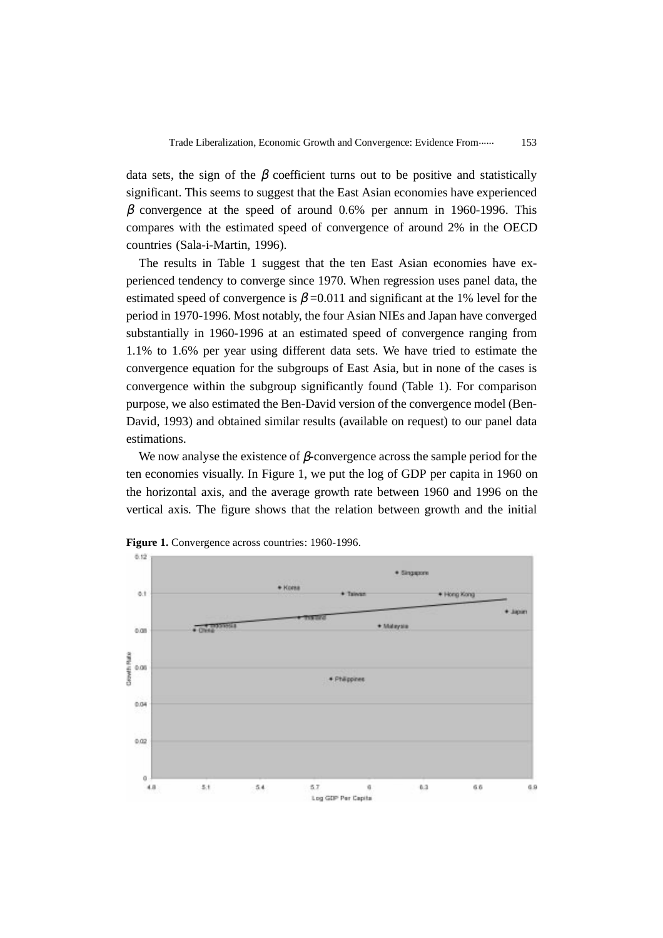data sets, the sign of the  $\beta$  coefficient turns out to be positive and statistically significant. This seems to suggest that the East Asian economies have experienced β convergence at the speed of around 0.6% per annum in 1960-1996. This compares with the estimated speed of convergence of around 2% in the OECD countries (Sala-i-Martin, 1996).

The results in Table 1 suggest that the ten East Asian economies have experienced tendency to converge since 1970. When regression uses panel data, the estimated speed of convergence is  $\beta$  =0.011 and significant at the 1% level for the period in 1970-1996. Most notably, the four Asian NIEs and Japan have converged substantially in 1960-1996 at an estimated speed of convergence ranging from 1.1% to 1.6% per year using different data sets. We have tried to estimate the convergence equation for the subgroups of East Asia, but in none of the cases is convergence within the subgroup significantly found (Table 1). For comparison purpose, we also estimated the Ben-David version of the convergence model (Ben-David, 1993) and obtained similar results (available on request) to our panel data estimations.

We now analyse the existence of  $\beta$ -convergence across the sample period for the ten economies visually. In Figure 1, we put the log of GDP per capita in 1960 on the horizontal axis, and the average growth rate between 1960 and 1996 on the vertical axis. The figure shows that the relation between growth and the initial



**Figure 1.** Convergence across countries: 1960-1996.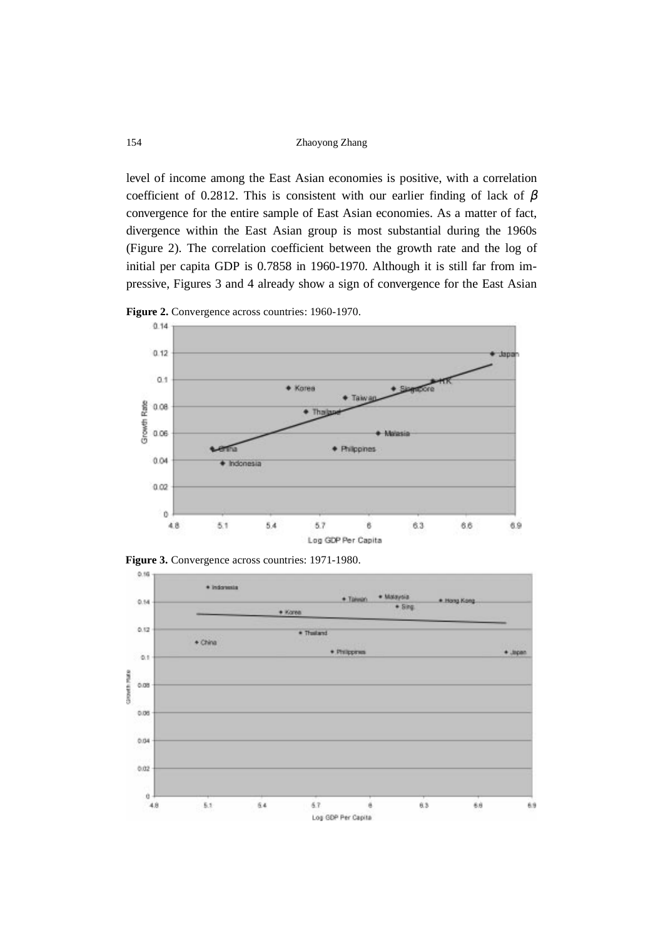154 Zhaoyong Zhang

level of income among the East Asian economies is positive, with a correlation coefficient of 0.2812. This is consistent with our earlier finding of lack of  $\beta$ convergence for the entire sample of East Asian economies. As a matter of fact, divergence within the East Asian group is most substantial during the 1960s (Figure 2). The correlation coefficient between the growth rate and the log of initial per capita GDP is 0.7858 in 1960-1970. Although it is still far from impressive, Figures 3 and 4 already show a sign of convergence for the East Asian



**Figure 2.** Convergence across countries: 1960-1970.

**Figure 3.** Convergence across countries: 1971-1980.

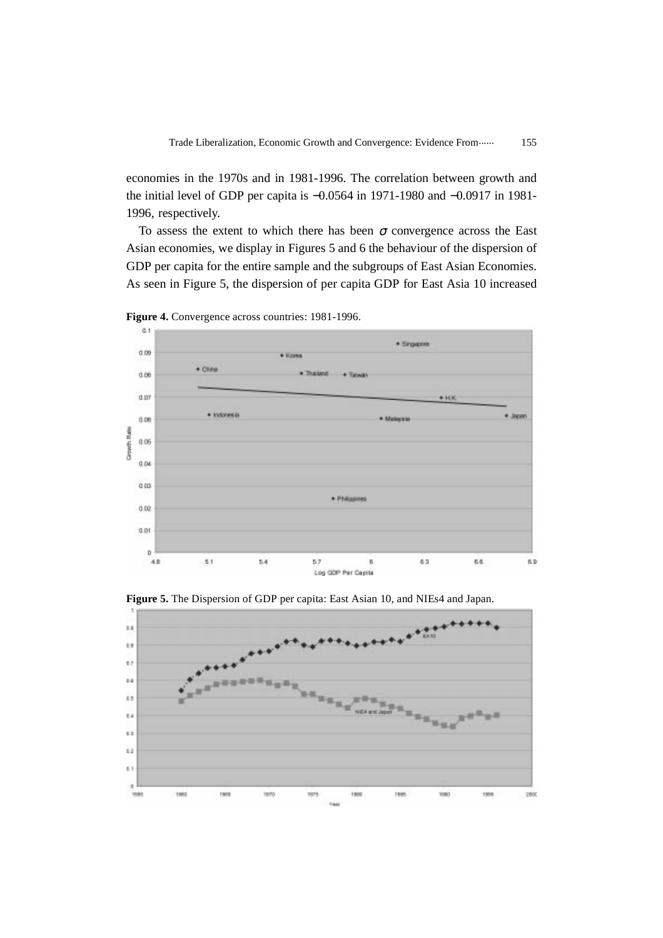economies in the 1970s and in 1981-1996. The correlation between growth and the initial level of GDP per capita is −0.0564 in 1971-1980 and −0.0917 in 1981- 1996, respectively.

To assess the extent to which there has been  $\sigma$  convergence across the East Asian economies, we display in Figures 5 and 6 the behaviour of the dispersion of GDP per capita for the entire sample and the subgroups of East Asian Economies. As seen in Figure 5, the dispersion of per capita GDP for East Asia 10 increased



**Figure 4.** Convergence across countries: 1981-1996.



**Figure 5.** The Dispersion of GDP per capita: East Asian 10, and NIEs4 and Japan.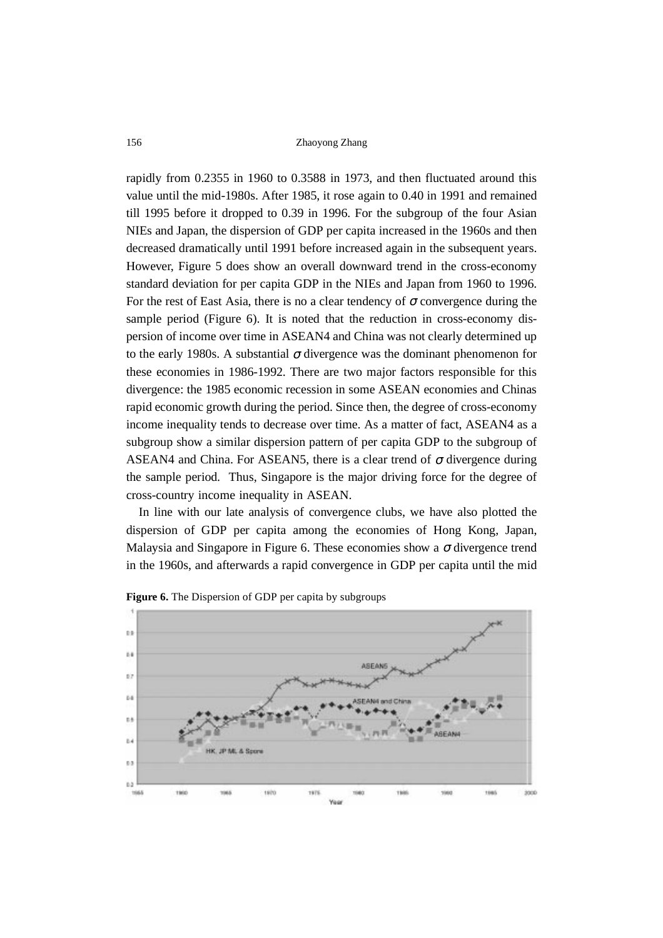rapidly from 0.2355 in 1960 to 0.3588 in 1973, and then fluctuated around this value until the mid-1980s. After 1985, it rose again to 0.40 in 1991 and remained till 1995 before it dropped to 0.39 in 1996. For the subgroup of the four Asian NIEs and Japan, the dispersion of GDP per capita increased in the 1960s and then decreased dramatically until 1991 before increased again in the subsequent years. However, Figure 5 does show an overall downward trend in the cross-economy standard deviation for per capita GDP in the NIEs and Japan from 1960 to 1996. For the rest of East Asia, there is no a clear tendency of  $\sigma$  convergence during the sample period (Figure 6). It is noted that the reduction in cross-economy dispersion of income over time in ASEAN4 and China was not clearly determined up to the early 1980s. A substantial  $\sigma$  divergence was the dominant phenomenon for these economies in 1986-1992. There are two major factors responsible for this divergence: the 1985 economic recession in some ASEAN economies and Chinas rapid economic growth during the period. Since then, the degree of cross-economy income inequality tends to decrease over time. As a matter of fact, ASEAN4 as a subgroup show a similar dispersion pattern of per capita GDP to the subgroup of ASEAN4 and China. For ASEAN5, there is a clear trend of  $\sigma$  divergence during the sample period. Thus, Singapore is the major driving force for the degree of cross-country income inequality in ASEAN.

In line with our late analysis of convergence clubs, we have also plotted the dispersion of GDP per capita among the economies of Hong Kong, Japan, Malaysia and Singapore in Figure 6. These economies show a  $\sigma$  divergence trend in the 1960s, and afterwards a rapid convergence in GDP per capita until the mid



**Figure 6.** The Dispersion of GDP per capita by subgroups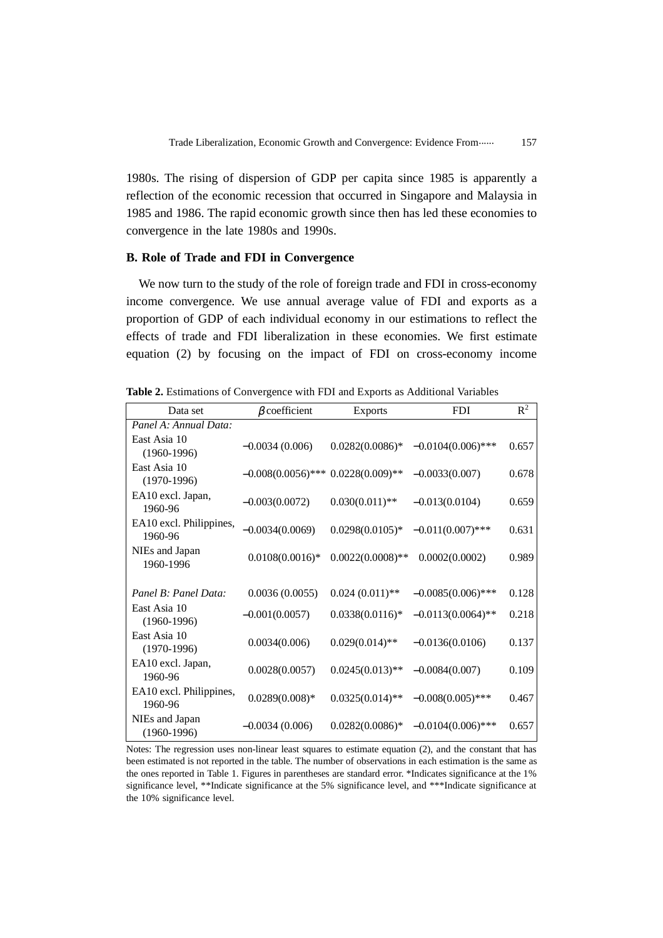1980s. The rising of dispersion of GDP per capita since 1985 is apparently a reflection of the economic recession that occurred in Singapore and Malaysia in 1985 and 1986. The rapid economic growth since then has led these economies to convergence in the late 1980s and 1990s.

#### **B. Role of Trade and FDI in Convergence**

We now turn to the study of the role of foreign trade and FDI in cross-economy income convergence. We use annual average value of FDI and exports as a proportion of GDP of each individual economy in our estimations to reflect the effects of trade and FDI liberalization in these economies. We first estimate equation (2) by focusing on the impact of FDI on cross-economy income

| Data set                           | $\beta$ coefficient                  | <b>Exports</b>      | <b>FDI</b>           | $R^2$ |
|------------------------------------|--------------------------------------|---------------------|----------------------|-------|
| Panel A: Annual Data:              |                                      |                     |                      |       |
| East Asia 10<br>$(1960-1996)$      | $-0.0034(0.006)$                     | $0.0282(0.0086)*$   | $-0.0104(0.006)$ *** | 0.657 |
| East Asia 10<br>$(1970-1996)$      | $-0.008(0.0056)$ *** 0.0228(0.009)** |                     | $-0.0033(0.007)$     | 0.678 |
| EA10 excl. Japan,<br>1960-96       | $-0.003(0.0072)$                     | $0.030(0.011)$ **   | $-0.013(0.0104)$     | 0.659 |
| EA10 excl. Philippines,<br>1960-96 | $-0.0034(0.0069)$                    | $0.0298(0.0105)*$   | $-0.011(0.007)$ ***  | 0.631 |
| NIEs and Japan<br>1960-1996        | $0.0108(0.0016)*$                    | $0.0022(0.0008)$ ** | 0.0002(0.0002)       | 0.989 |
| Panel B: Panel Data:               | 0.0036(0.0055)                       | $0.024(0.011)$ **   | $-0.0085(0.006)$ *** | 0.128 |
| East Asia 10<br>$(1960-1996)$      | $-0.001(0.0057)$                     | $0.0338(0.0116)*$   | $-0.0113(0.0064)$ ** | 0.218 |
| East Asia 10<br>$(1970-1996)$      | 0.0034(0.006)                        | $0.029(0.014)$ **   | $-0.0136(0.0106)$    | 0.137 |
| EA10 excl. Japan,<br>1960-96       | 0.0028(0.0057)                       | $0.0245(0.013)$ **  | $-0.0084(0.007)$     | 0.109 |
| EA10 excl. Philippines,<br>1960-96 | $0.0289(0.008)*$                     | $0.0325(0.014)$ **  | $-0.008(0.005)$ ***  | 0.467 |
| NIEs and Japan<br>$(1960-1996)$    | $-0.0034(0.006)$                     | $0.0282(0.0086)*$   | $-0.0104(0.006)$ *** | 0.657 |

**Table 2.** Estimations of Convergence with FDI and Exports as Additional Variables

Notes: The regression uses non-linear least squares to estimate equation (2), and the constant that has been estimated is not reported in the table. The number of observations in each estimation is the same as the ones reported in Table 1. Figures in parentheses are standard error. \*Indicates significance at the 1% significance level, \*\*Indicate significance at the 5% significance level, and \*\*\*Indicate significance at the 10% significance level.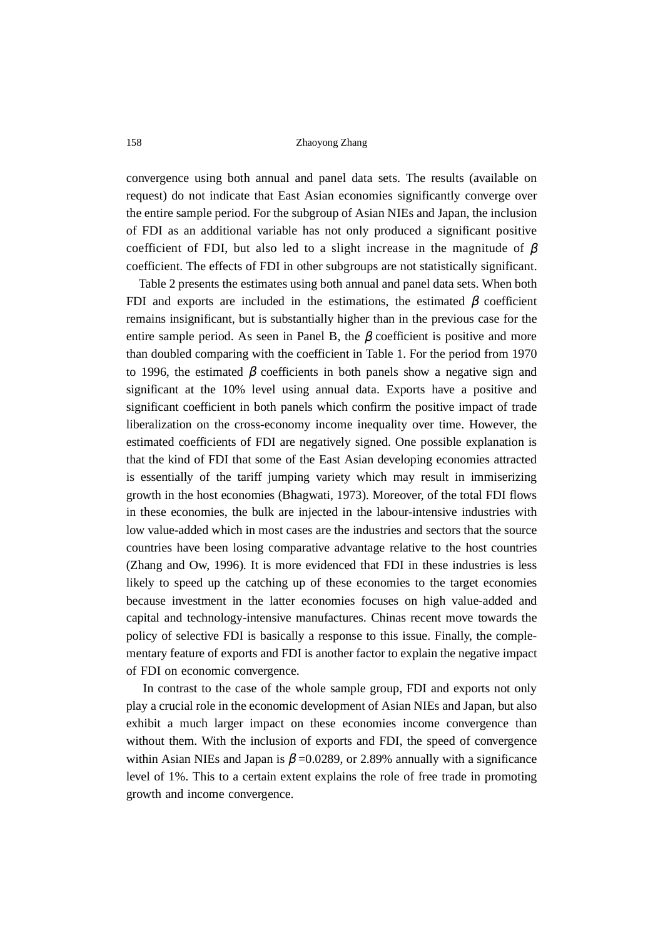convergence using both annual and panel data sets. The results (available on request) do not indicate that East Asian economies significantly converge over the entire sample period. For the subgroup of Asian NIEs and Japan, the inclusion of FDI as an additional variable has not only produced a significant positive coefficient of FDI, but also led to a slight increase in the magnitude of  $\beta$ coefficient. The effects of FDI in other subgroups are not statistically significant.

Table 2 presents the estimates using both annual and panel data sets. When both FDI and exports are included in the estimations, the estimated  $\beta$  coefficient remains insignificant, but is substantially higher than in the previous case for the entire sample period. As seen in Panel B, the  $\beta$  coefficient is positive and more than doubled comparing with the coefficient in Table 1. For the period from 1970 to 1996, the estimated  $\beta$  coefficients in both panels show a negative sign and significant at the 10% level using annual data. Exports have a positive and significant coefficient in both panels which confirm the positive impact of trade liberalization on the cross-economy income inequality over time. However, the estimated coefficients of FDI are negatively signed. One possible explanation is that the kind of FDI that some of the East Asian developing economies attracted is essentially of the tariff jumping variety which may result in immiserizing growth in the host economies (Bhagwati, 1973). Moreover, of the total FDI flows in these economies, the bulk are injected in the labour-intensive industries with low value-added which in most cases are the industries and sectors that the source countries have been losing comparative advantage relative to the host countries (Zhang and Ow, 1996). It is more evidenced that FDI in these industries is less likely to speed up the catching up of these economies to the target economies because investment in the latter economies focuses on high value-added and capital and technology-intensive manufactures. Chinas recent move towards the policy of selective FDI is basically a response to this issue. Finally, the complementary feature of exports and FDI is another factor to explain the negative impact of FDI on economic convergence.

 In contrast to the case of the whole sample group, FDI and exports not only play a crucial role in the economic development of Asian NIEs and Japan, but also exhibit a much larger impact on these economies income convergence than without them. With the inclusion of exports and FDI, the speed of convergence within Asian NIEs and Japan is  $\beta = 0.0289$ , or 2.89% annually with a significance level of 1%. This to a certain extent explains the role of free trade in promoting growth and income convergence.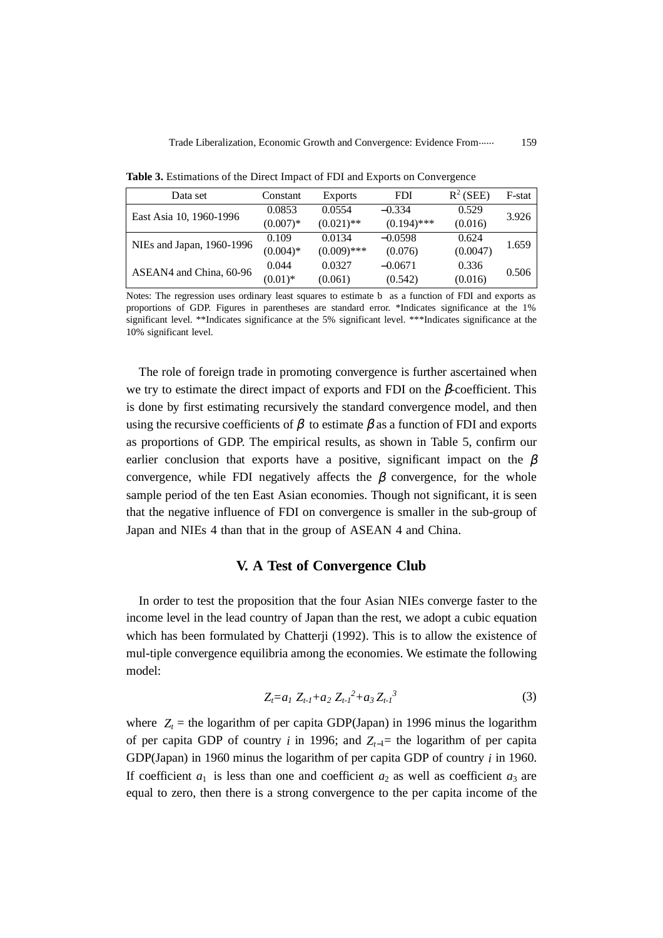| Data set                  | Constant   | <b>Exports</b> | FDI           | $R^2$ (SEE) | F-stat |
|---------------------------|------------|----------------|---------------|-------------|--------|
| East Asia 10, 1960-1996   | 0.0853     | 0.0554         | $-0.334$      | 0.529       | 3.926  |
|                           | $(0.007)*$ | $(0.021)$ **   | $(0.194)$ *** | (0.016)     |        |
| NIEs and Japan, 1960-1996 | 0.109      | 0.0134         | $-0.0598$     | 0.624       | 1.659  |
|                           | $(0.004)*$ | $(0.009)$ ***  | (0.076)       | (0.0047)    |        |
| ASEAN4 and China, 60-96   | 0.044      | 0.0327         | $-0.0671$     | 0.336       | 0.506  |
|                           | $(0.01)$ * | (0.061)        | (0.542)       | (0.016)     |        |

**Table 3.** Estimations of the Direct Impact of FDI and Exports on Convergence

Notes: The regression uses ordinary least squares to estimate b as a function of FDI and exports as proportions of GDP. Figures in parentheses are standard error. \*Indicates significance at the 1% significant level. \*\*Indicates significance at the 5% significant level. \*\*\*Indicates significance at the 10% significant level.

The role of foreign trade in promoting convergence is further ascertained when we try to estimate the direct impact of exports and FDI on the  $\beta$ -coefficient. This is done by first estimating recursively the standard convergence model, and then using the recursive coefficients of  $\beta$  to estimate  $\beta$  as a function of FDI and exports as proportions of GDP. The empirical results, as shown in Table 5, confirm our earlier conclusion that exports have a positive, significant impact on the  $\beta$ convergence, while FDI negatively affects the  $\beta$  convergence, for the whole sample period of the ten East Asian economies. Though not significant, it is seen that the negative influence of FDI on convergence is smaller in the sub-group of Japan and NIEs 4 than that in the group of ASEAN 4 and China.

## **V. A Test of Convergence Club**

In order to test the proposition that the four Asian NIEs converge faster to the income level in the lead country of Japan than the rest, we adopt a cubic equation which has been formulated by Chatterji (1992). This is to allow the existence of mul-tiple convergence equilibria among the economies. We estimate the following model:

$$
Z_t = a_1 Z_{t-1} + a_2 Z_{t-1}^2 + a_3 Z_{t-1}^3 \tag{3}
$$

where  $Z_t$  = the logarithm of per capita GDP(Japan) in 1996 minus the logarithm of per capita GDP of country *i* in 1996; and  $Z_{t-1}$ = the logarithm of per capita GDP(Japan) in 1960 minus the logarithm of per capita GDP of country *i* in 1960. If coefficient  $a_1$  is less than one and coefficient  $a_2$  as well as coefficient  $a_3$  are equal to zero, then there is a strong convergence to the per capita income of the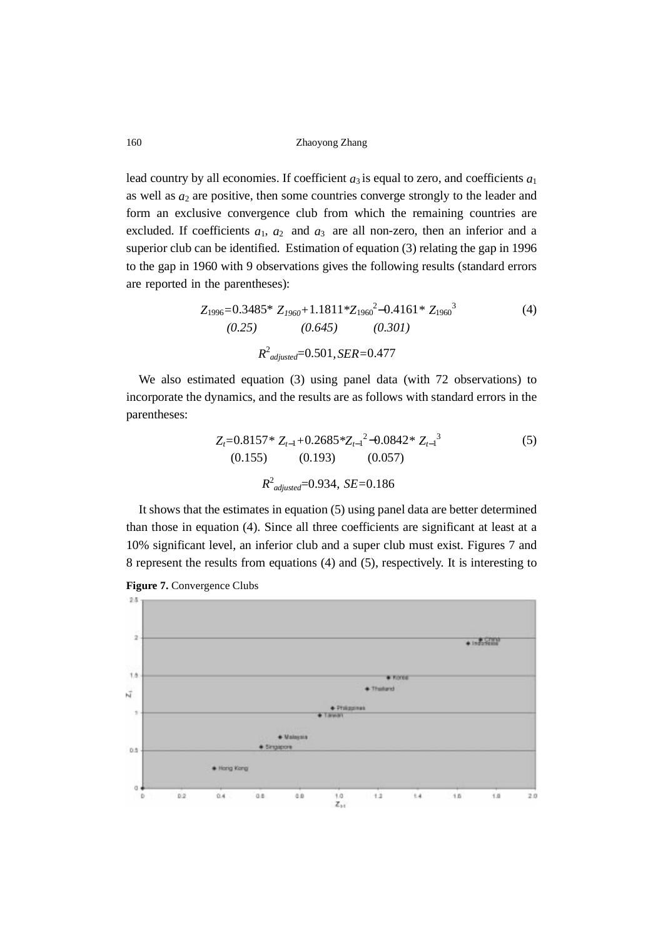160 Zhaoyong Zhang

lead country by all economies. If coefficient  $a_3$  is equal to zero, and coefficients  $a_1$ as well as  $a_2$  are positive, then some countries converge strongly to the leader and form an exclusive convergence club from which the remaining countries are excluded. If coefficients  $a_1$ ,  $a_2$  and  $a_3$  are all non-zero, then an inferior and a superior club can be identified. Estimation of equation (3) relating the gap in 1996 to the gap in 1960 with 9 observations gives the following results (standard errors are reported in the parentheses):

$$
Z_{1996} = 0.3485 \times Z_{1960} + 1.1811 \times Z_{1960}^{2} - 0.4161 \times Z_{1960}^{3}
$$
\n
$$
(0.25) \qquad (0.645) \qquad (0.301)
$$
\n
$$
R^{2}_{adjusted} = 0.501, SER = 0.477
$$
\n(4)

We also estimated equation (3) using panel data (with 72 observations) to incorporate the dynamics, and the results are as follows with standard errors in the parentheses:

$$
Z_{t} = 0.8157 \times Z_{t-1} + 0.2685 \times Z_{t-1}^{2} - 0.0842 \times Z_{t-1}^{3}
$$
\n
$$
(0.155) \qquad (0.193) \qquad (0.057)
$$
\n
$$
R^{2}_{adjusted} = 0.934, SE = 0.186
$$
\n(5)

It shows that the estimates in equation (5) using panel data are better determined than those in equation (4). Since all three coefficients are significant at least at a 10% significant level, an inferior club and a super club must exist. Figures 7 and 8 represent the results from equations (4) and (5), respectively. It is interesting to



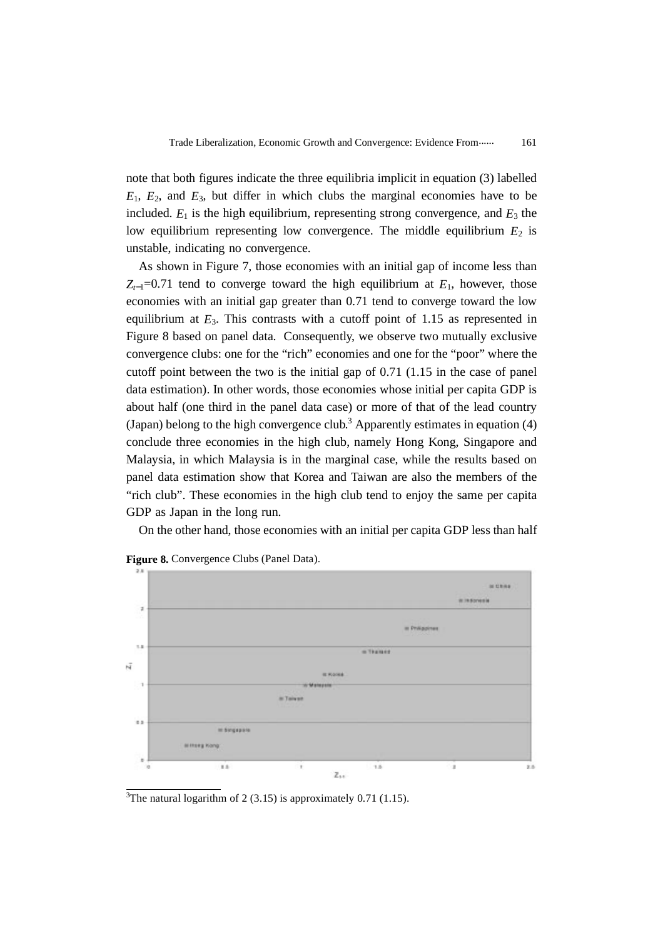note that both figures indicate the three equilibria implicit in equation (3) labelled  $E_1$ ,  $E_2$ , and  $E_3$ , but differ in which clubs the marginal economies have to be included.  $E_1$  is the high equilibrium, representing strong convergence, and  $E_3$  the low equilibrium representing low convergence. The middle equilibrium  $E_2$  is unstable, indicating no convergence.

As shown in Figure 7, those economies with an initial gap of income less than  $Z_{t-1}=0.71$  tend to converge toward the high equilibrium at  $E_1$ , however, those economies with an initial gap greater than 0.71 tend to converge toward the low equilibrium at  $E_3$ . This contrasts with a cutoff point of 1.15 as represented in Figure 8 based on panel data. Consequently, we observe two mutually exclusive convergence clubs: one for the "rich" economies and one for the "poor" where the cutoff point between the two is the initial gap of 0.71 (1.15 in the case of panel data estimation). In other words, those economies whose initial per capita GDP is about half (one third in the panel data case) or more of that of the lead country (Japan) belong to the high convergence club.<sup>3</sup> Apparently estimates in equation  $(4)$ conclude three economies in the high club, namely Hong Kong, Singapore and Malaysia, in which Malaysia is in the marginal case, while the results based on panel data estimation show that Korea and Taiwan are also the members of the "rich club". These economies in the high club tend to enjoy the same per capita GDP as Japan in the long run.

On the other hand, those economies with an initial per capita GDP less than half



Figure 8. Convergence Clubs (Panel Data).

<sup>3</sup>The natural logarithm of 2 (3.15) is approximately 0.71 (1.15).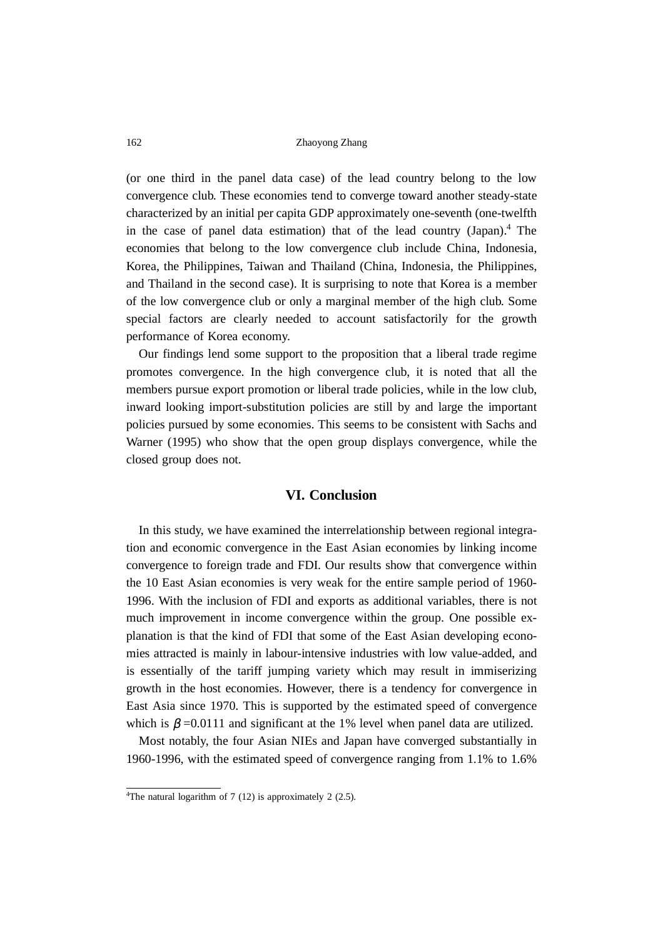(or one third in the panel data case) of the lead country belong to the low convergence club. These economies tend to converge toward another steady-state characterized by an initial per capita GDP approximately one-seventh (one-twelfth in the case of panel data estimation) that of the lead country (Japan).<sup>4</sup> The economies that belong to the low convergence club include China, Indonesia, Korea, the Philippines, Taiwan and Thailand (China, Indonesia, the Philippines, and Thailand in the second case). It is surprising to note that Korea is a member of the low convergence club or only a marginal member of the high club. Some special factors are clearly needed to account satisfactorily for the growth performance of Korea economy.

Our findings lend some support to the proposition that a liberal trade regime promotes convergence. In the high convergence club, it is noted that all the members pursue export promotion or liberal trade policies, while in the low club, inward looking import-substitution policies are still by and large the important policies pursued by some economies. This seems to be consistent with Sachs and Warner (1995) who show that the open group displays convergence, while the closed group does not.

## **VI. Conclusion**

In this study, we have examined the interrelationship between regional integration and economic convergence in the East Asian economies by linking income convergence to foreign trade and FDI. Our results show that convergence within the 10 East Asian economies is very weak for the entire sample period of 1960- 1996. With the inclusion of FDI and exports as additional variables, there is not much improvement in income convergence within the group. One possible explanation is that the kind of FDI that some of the East Asian developing economies attracted is mainly in labour-intensive industries with low value-added, and is essentially of the tariff jumping variety which may result in immiserizing growth in the host economies. However, there is a tendency for convergence in East Asia since 1970. This is supported by the estimated speed of convergence which is  $\beta = 0.0111$  and significant at the 1% level when panel data are utilized.

Most notably, the four Asian NIEs and Japan have converged substantially in 1960-1996, with the estimated speed of convergence ranging from 1.1% to 1.6%

<sup>&</sup>lt;sup>4</sup>The natural logarithm of 7 (12) is approximately 2 (2.5).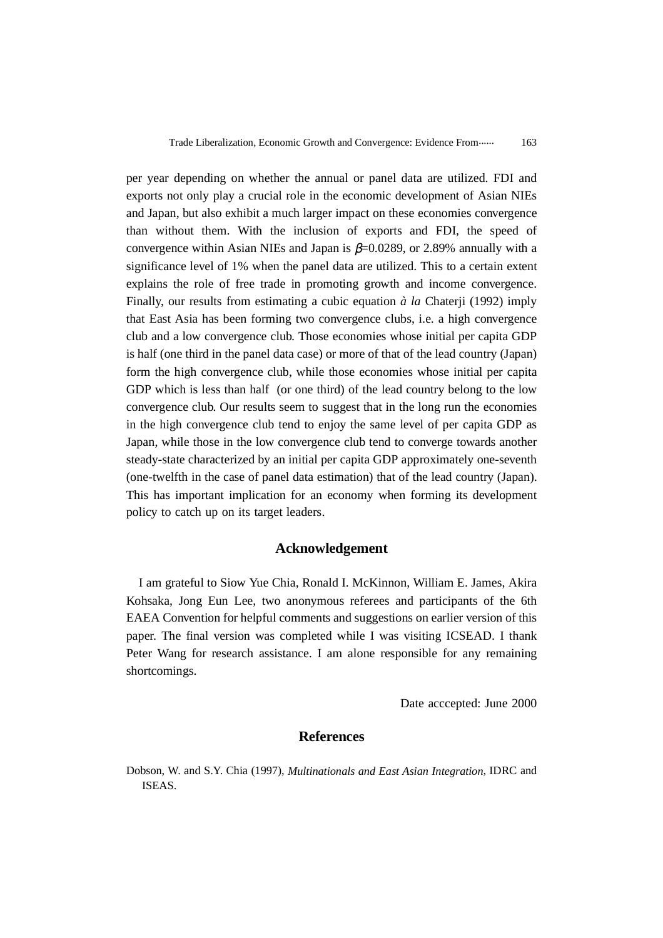per year depending on whether the annual or panel data are utilized. FDI and exports not only play a crucial role in the economic development of Asian NIEs and Japan, but also exhibit a much larger impact on these economies convergence than without them. With the inclusion of exports and FDI, the speed of convergence within Asian NIEs and Japan is  $\beta$ =0.0289, or 2.89% annually with a significance level of 1% when the panel data are utilized. This to a certain extent explains the role of free trade in promoting growth and income convergence. Finally, our results from estimating a cubic equation *à la* Chaterji (1992) imply that East Asia has been forming two convergence clubs, i.e. a high convergence club and a low convergence club. Those economies whose initial per capita GDP is half (one third in the panel data case) or more of that of the lead country (Japan) form the high convergence club, while those economies whose initial per capita GDP which is less than half (or one third) of the lead country belong to the low convergence club. Our results seem to suggest that in the long run the economies in the high convergence club tend to enjoy the same level of per capita GDP as Japan, while those in the low convergence club tend to converge towards another steady-state characterized by an initial per capita GDP approximately one-seventh (one-twelfth in the case of panel data estimation) that of the lead country (Japan). This has important implication for an economy when forming its development policy to catch up on its target leaders.

# **Acknowledgement**

I am grateful to Siow Yue Chia, Ronald I. McKinnon, William E. James, Akira Kohsaka, Jong Eun Lee, two anonymous referees and participants of the 6th EAEA Convention for helpful comments and suggestions on earlier version of this paper. The final version was completed while I was visiting ICSEAD. I thank Peter Wang for research assistance. I am alone responsible for any remaining shortcomings.

Date acccepted: June 2000

#### **References**

Dobson, W. and S.Y. Chia (1997), *Multinationals and East Asian Integration*, IDRC and ISEAS.